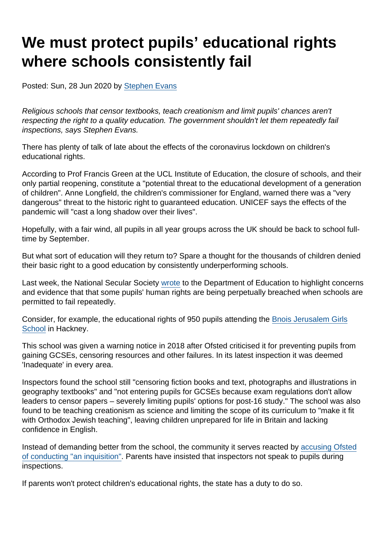# We must protect pupils' educational rights where schools consistently fail

Posted: Sun, 28 Jun 2020 by [Stephen Evans](https://www.secularism.org.uk/opinion/authors/845)

Religious schools that censor textbooks, teach creationism and limit pupils' chances aren't respecting the right to a quality education. The government shouldn't let them repeatedly fail inspections, says Stephen Evans.

There has plenty of talk of late about the effects of the coronavirus lockdown on children's educational rights.

According to Prof Francis Green at the UCL Institute of Education, the closure of schools, and their only partial reopening, constitute a "potential threat to the educational development of a generation of children". Anne Longfield, the children's commissioner for England, warned there was a "very dangerous" threat to the historic right to guaranteed education. UNICEF says the effects of the pandemic will "cast a long shadow over their lives".

Hopefully, with a fair wind, all pupils in all year groups across the UK should be back to school fulltime by September.

But what sort of education will they return to? Spare a thought for the thousands of children denied their basic right to a good education by consistently underperforming schools.

Last week, the National Secular Society [wrote](https://www.secularism.org.uk/news/2020/06/independent-faith-schools-being-allowed-to-fail-children-says-nss) to the Department of Education to highlight concerns and evidence that that some pupils' human rights are being perpetually breached when schools are permitted to fail repeatedly.

Consider, for example, the educational rights of 950 pupils attending the [Bnois Jerusalem Girls](https://reports.ofsted.gov.uk/provider/27/100291) [School](https://reports.ofsted.gov.uk/provider/27/100291) in Hackney.

This school was given a warning notice in 2018 after Ofsted criticised it for preventing pupils from gaining GCSEs, censoring resources and other failures. In its latest inspection it was deemed 'Inadequate' in every area.

Inspectors found the school still "censoring fiction books and text, photographs and illustrations in geography textbooks" and "not entering pupils for GCSEs because exam regulations don't allow leaders to censor papers – severely limiting pupils' options for post-16 study." The school was also found to be teaching creationism as science and limiting the scope of its curriculum to "make it fit with Orthodox Jewish teaching", leaving children unprepared for life in Britain and lacking confidence in English.

Instead of demanding better from the school, the community it serves reacted by [accusing Ofsted](https://jewishnews.timesofisrael.com/65165165charedi-jews-protest-school-inspection-accusing-ofsted-of-an-inquisition/) [of conducting "an inquisition"](https://jewishnews.timesofisrael.com/65165165charedi-jews-protest-school-inspection-accusing-ofsted-of-an-inquisition/). Parents have insisted that inspectors not speak to pupils during inspections.

If parents won't protect children's educational rights, the state has a duty to do so.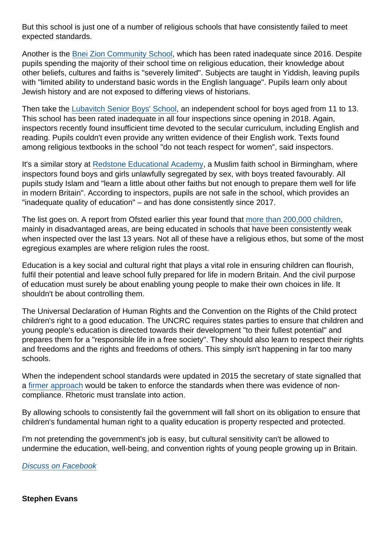But this school is just one of a number of religious schools that have consistently failed to meet expected standards.

Another is the [Bnei Zion Community School](https://reports.ofsted.gov.uk/provider/27/137318), which has been rated inadequate since 2016. Despite pupils spending the majority of their school time on religious education, their knowledge about other beliefs, cultures and faiths is "severely limited". Subjects are taught in Yiddish, leaving pupils with "limited ability to understand basic words in the English language". Pupils learn only about Jewish history and are not exposed to differing views of historians.

Then take the [Lubavitch Senior Boys' School](https://reports.ofsted.gov.uk/provider/27/144363), an independent school for boys aged from 11 to 13. This school has been rated inadequate in all four inspections since opening in 2018. Again, inspectors recently found insufficient time devoted to the secular curriculum, including English and reading. Pupils couldn't even provide any written evidence of their English work. Texts found among religious textbooks in the school "do not teach respect for women", said inspectors.

It's a similar story at [Redstone Educational Academy,](https://reports.ofsted.gov.uk/provider/27/137560) a Muslim faith school in Birmingham, where inspectors found boys and girls unlawfully segregated by sex, with boys treated favourably. All pupils study Islam and "learn a little about other faiths but not enough to prepare them well for life in modern Britain". According to inspectors, pupils are not safe in the school, which provides an "inadequate quality of education" – and has done consistently since 2017.

The list goes on. A report from Ofsted earlier this year found that [more than 200,000 children,](https://www.gov.uk/government/publications/fight-or-flight-how-stuck-schools-are-overcoming-isolation/fight-or-flight-how-stuck-schools-are-overcoming-isolation-evaluation-report) mainly in disadvantaged areas, are being educated in schools that have been consistently weak when inspected over the last 13 years. Not all of these have a religious ethos, but some of the most egregious examples are where religion rules the roost.

Education is a key social and cultural right that plays a vital role in ensuring children can flourish, fulfil their potential and leave school fully prepared for life in modern Britain. And the civil purpose of education must surely be about enabling young people to make their own choices in life. It shouldn't be about controlling them.

The Universal Declaration of Human Rights and the Convention on the Rights of the Child protect children's right to a good education. The UNCRC requires states parties to ensure that children and young people's education is directed towards their development "to their fullest potential" and prepares them for a "responsible life in a free society". They should also learn to respect their rights and freedoms and the rights and freedoms of others. This simply isn't happening in far too many schools.

When the independent school standards were updated in 2015 the secretary of state signalled that a [firmer approach](https://assets.publishing.service.gov.uk/government/uploads/system/uploads/attachment_data/file/800615/Independent_School_Standards-_Guidance_070519.pdf) would be taken to enforce the standards when there was evidence of noncompliance. Rhetoric must translate into action.

By allowing schools to consistently fail the government will fall short on its obligation to ensure that children's fundamental human right to a quality education is property respected and protected.

I'm not pretending the government's job is easy, but cultural sensitivity can't be allowed to undermine the education, well-being, and convention rights of young people growing up in Britain.

[Discuss on Facebook](https://www.facebook.com/NationalSecularSociety/posts/3091007434300920?__xts__[0]=68.ARAYO81gN47Nz7FVdrCQKXSkphNWsUo2PP29-QQLfzNBfS3k1ZlxZsPtm6OKP2etNgW5_P_DqIv3L4znbxXtb4Ssn6lBR7jgIInFJuJbf4RkHnAHLkQJscTpyKJ4332L4IFu2KrcIEmrPhjy4FdJZf4eJMWwfGHWt95TWDnKecWsQagSmAr4lDcNDs4pblO9KjoKSwgv3q0v9-tfB_l4eEa3bwgKsziu1KPjn81cgrYCz1pKhpWEYjS4p4s1Ny35c1rhjRyJHGsekHofKj79QeX_1f8muSrlfMwA_uJqEAnwo0SObTVCOEYQwQ-u0KsYhp3C1kP7aEpa4aoyMH7dOnFz2g&__tn__=-R)

Stephen Evans